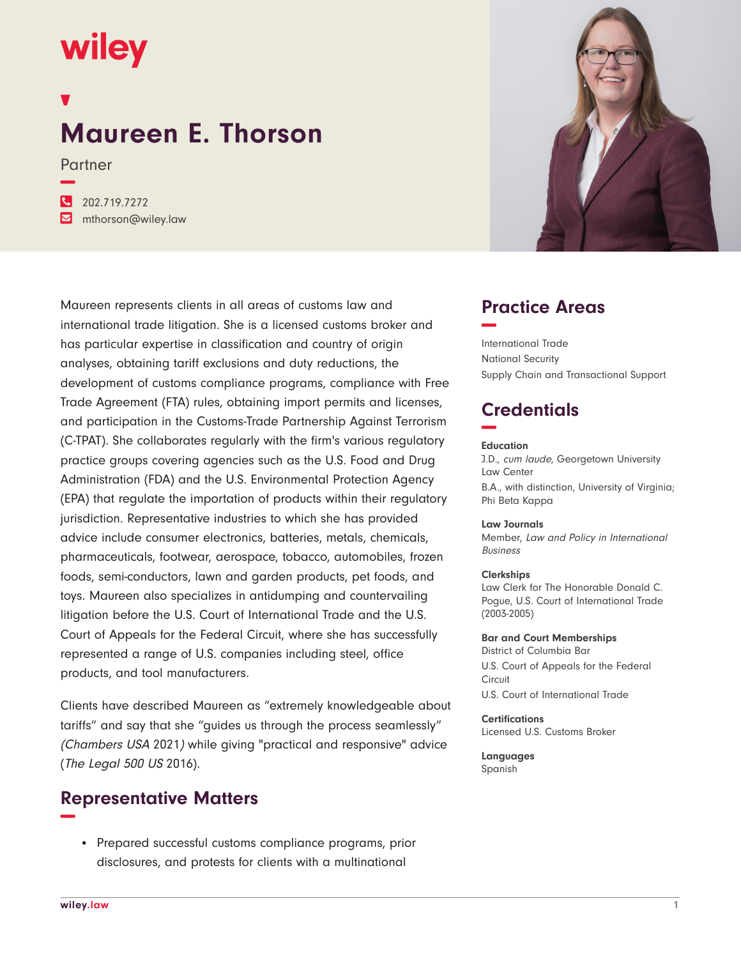# **wiley**

**−**

## **Maureen E. Thorson**

Partner

**�** 202.719.7272 **�** mthorson@wiley.law

Maureen represents clients in all areas of customs law and international trade litigation. She is a licensed customs broker and has particular expertise in classification and country of origin analyses, obtaining tariff exclusions and duty reductions, the development of customs compliance programs, compliance with Free Trade Agreement (FTA) rules, obtaining import permits and licenses, and participation in the Customs-Trade Partnership Against Terrorism (C-TPAT). She collaborates regularly with the firm's various regulatory practice groups covering agencies such as the U.S. Food and Drug Administration (FDA) and the U.S. Environmental Protection Agency (EPA) that regulate the importation of products within their regulatory jurisdiction. Representative industries to which she has provided advice include consumer electronics, batteries, metals, chemicals, pharmaceuticals, footwear, aerospace, tobacco, automobiles, frozen foods, semi-conductors, lawn and garden products, pet foods, and toys. Maureen also specializes in antidumping and countervailing litigation before the U.S. Court of International Trade and the U.S. Court of Appeals for the Federal Circuit, where she has successfully represented a range of U.S. companies including steel, office products, and tool manufacturers.

Clients have described Maureen as "extremely knowledgeable about tariffs" and say that she "guides us through the process seamlessly" (Chambers USA 2021) while giving "practical and responsive" advice (The Legal 500 US 2016).

## **Representative Matters −**

• Prepared successful customs compliance programs, prior disclosures, and protests for clients with a multinational



## **Practice Areas −**

International Trade National Security Supply Chain and Transactional Support

## **Credentials −**

#### **Education**

J.D., cum laude, Georgetown University Law Center B.A., with distinction, University of Virginia; Phi Beta Kappa

#### **Law Journals**

Member, Law and Policy in International Business

#### **Clerkships**

Law Clerk for The Honorable Donald C. Pogue, U.S. Court of International Trade (2003-2005)

#### **Bar and Court Memberships**

District of Columbia Bar U.S. Court of Appeals for the Federal Circuit U.S. Court of International Trade

#### **Certifications**

Licensed U.S. Customs Broker

**Languages** Spanish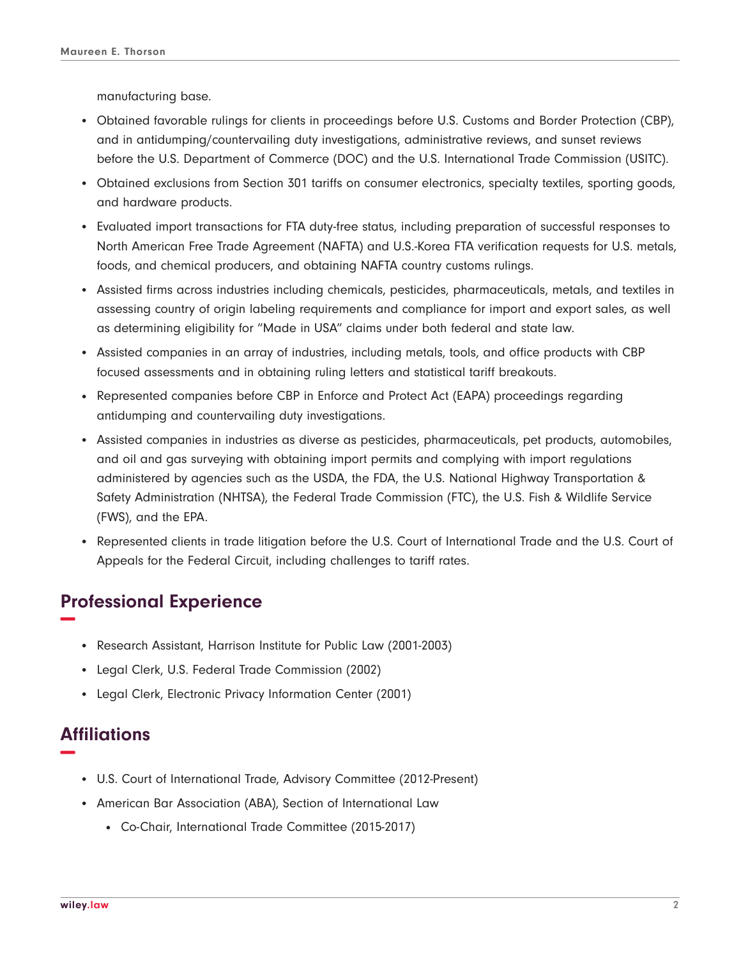manufacturing base.

- Obtained favorable rulings for clients in proceedings before U.S. Customs and Border Protection (CBP), and in antidumping/countervailing duty investigations, administrative reviews, and sunset reviews before the U.S. Department of Commerce (DOC) and the U.S. International Trade Commission (USITC).
- Obtained exclusions from Section 301 tariffs on consumer electronics, specialty textiles, sporting goods, and hardware products.
- Evaluated import transactions for FTA duty-free status, including preparation of successful responses to North American Free Trade Agreement (NAFTA) and U.S.-Korea FTA verification requests for U.S. metals, foods, and chemical producers, and obtaining NAFTA country customs rulings.
- Assisted firms across industries including chemicals, pesticides, pharmaceuticals, metals, and textiles in assessing country of origin labeling requirements and compliance for import and export sales, as well as determining eligibility for "Made in USA" claims under both federal and state law.
- Assisted companies in an array of industries, including metals, tools, and office products with CBP focused assessments and in obtaining ruling letters and statistical tariff breakouts.
- Represented companies before CBP in Enforce and Protect Act (EAPA) proceedings regarding antidumping and countervailing duty investigations.
- Assisted companies in industries as diverse as pesticides, pharmaceuticals, pet products, automobiles, and oil and gas surveying with obtaining import permits and complying with import regulations administered by agencies such as the USDA, the FDA, the U.S. National Highway Transportation & Safety Administration (NHTSA), the Federal Trade Commission (FTC), the U.S. Fish & Wildlife Service (FWS), and the EPA.
- Represented clients in trade litigation before the U.S. Court of International Trade and the U.S. Court of Appeals for the Federal Circuit, including challenges to tariff rates.

## **Professional Experience −**

- Research Assistant, Harrison Institute for Public Law (2001-2003)
- Legal Clerk, U.S. Federal Trade Commission (2002)
- Legal Clerk, Electronic Privacy Information Center (2001)

### **Affiliations −**

- U.S. Court of International Trade, Advisory Committee (2012-Present)
- American Bar Association (ABA), Section of International Law
	- Co-Chair, International Trade Committee (2015-2017)